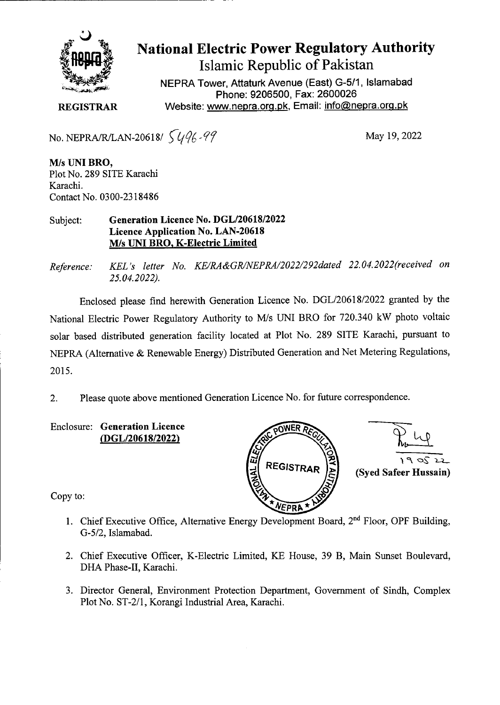

## **National Electric Power Regulatory Authority Islamic Republic of Pakistan**

**NEPRA Tower, Attaturk Avenue (East) G-5/1, Islamabad Phone: 9206500, Fax: 2600026 REGISTRAR** Website: www.nepra.org.pk, Email: info@nepra.org.pk

No. NEPRA/R/LAN-20618/  $\sqrt{(4/6 \cdot 97)}$  May 19, 2022

M/s **UNI BRO,**  Plot No. 289 SITE Karachi Karachi. Contact No. 0300-2318486

Subject: **Generation Licence No. DGL/20618/2022 Licence Application No. LAN-20618**  M/s **uN! BRO,** K**-Electric Limited** 

*Reference: KEL 's letter No. KE/RA &GR/NEPRA/2022/292dated 22.04. 2022(received on 25.04.2022).* 

Enclosed please find herewith Generation Licence No. DGL/20618/2022 granted by the National Electric Power Regulatory Authority to M/s UNI BRO for 720.340 kW photo voltaic solar based distributed generation facility located at Plot No. 289 SITE Karachi, pursuant to NEPRA (Alternative & Renewable Energy) Distributed Generation and Net Metering Regulations, 2015.

2. Please quote above mentioned Generation Licence No. for future correspondence.

Enclosure: **Generation Licence**  *(DGL/20618/2022)* 



Copy to:

- 1. Chief Executive Office, Alternative Energy Development Board, 2<sup>nd</sup> Floor, OPF Building, G-5/2, Islamabad.
- 2. Chief Executive Officer, K-Electric Limited, KE House, 39 B, Main Sunset Boulevard, DHA Phase-Il, Karachi.
- 3. Director General, Environment Protection Department, Government of Sindh, Complex Plot No. ST-2/1, Korangi Industrial Area, Karachi.